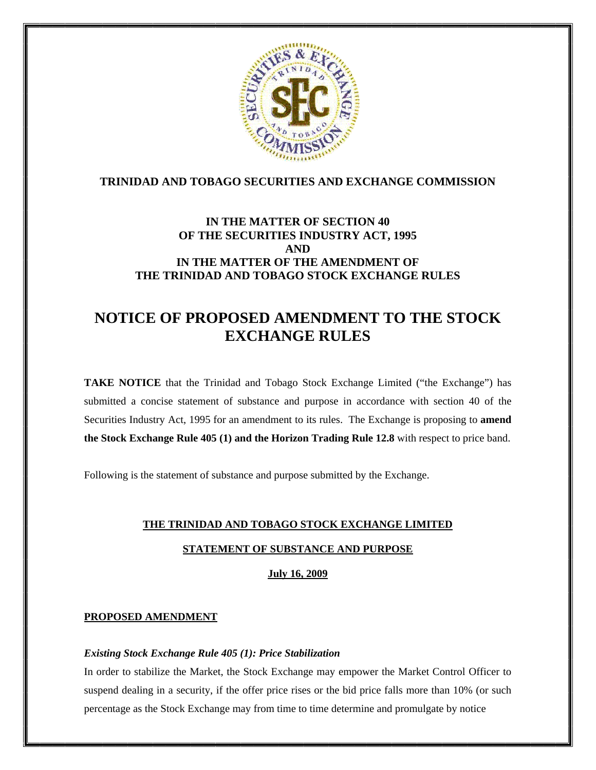

# **TRINIDAD AND TOBAGO SECURITIES AND EXCHANGE COMMISSION**

# **IN THE MATTER OF SECTION 40 OF THE SECURITIES INDUSTRY ACT, 1995 AND IN THE MATTER OF THE AMENDMENT OF THE TRINIDAD AND TOBAGO STOCK EXCHANGE RULES**

# **NOTICE OF PROPOSED AMENDMENT TO THE STOCK EXCHANGE RULES**

**TAKE NOTICE** that the Trinidad and Tobago Stock Exchange Limited ("the Exchange") has submitted a concise statement of substance and purpose in accordance with section 40 of the Securities Industry Act, 1995 for an amendment to its rules. The Exchange is proposing to **amend the Stock Exchange Rule 405 (1) and the Horizon Trading Rule 12.8** with respect to price band.

Following is the statement of substance and purpose submitted by the Exchange.

# **THE TRINIDAD AND TOBAGO STOCK EXCHANGE LIMITED**

## **STATEMENT OF SUBSTANCE AND PURPOSE**

**July 16, 2009**

## **PROPOSED AMENDMENT**

## *Existing Stock Exchange Rule 405 (1): Price Stabilization*

In order to stabilize the Market, the Stock Exchange may empower the Market Control Officer to suspend dealing in a security, if the offer price rises or the bid price falls more than 10% (or such percentage as the Stock Exchange may from time to time determine and promulgate by notice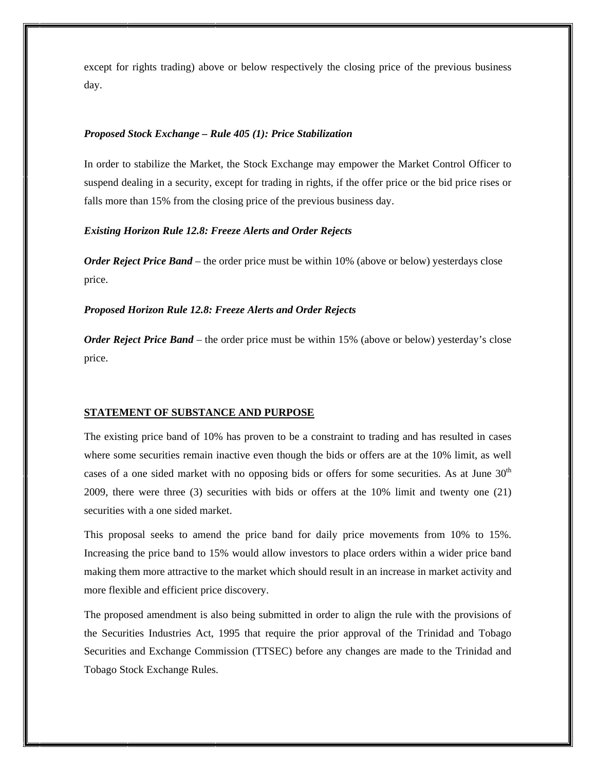except for rights trading) above or below respectively the closing price of the previous business day.

#### *Proposed Stock Exchange – Rule 405 (1): Price Stabilization*

In order to stabilize the Market, the Stock Exchange may empower the Market Control Officer to suspend dealing in a security, except for trading in rights, if the offer price or the bid price rises or falls more than 15% from the closing price of the previous business day.

### *Existing Horizon Rule 12.8: Freeze Alerts and Order Rejects*

*Order Reject Price Band –* the order price must be within 10% (above or below) yesterdays close price.

#### *Proposed Horizon Rule 12.8: Freeze Alerts and Order Rejects*

*Order Reject Price Band* – the order price must be within 15% (above or below) yesterday's close price.

#### **STATEMENT OF SUBSTANCE AND PURPOSE**

The existing price band of 10% has proven to be a constraint to trading and has resulted in cases where some securities remain inactive even though the bids or offers are at the 10% limit, as well cases of a one sided market with no opposing bids or offers for some securities. As at June  $30<sup>th</sup>$ 2009, there were three (3) securities with bids or offers at the 10% limit and twenty one (21) securities with a one sided market.

This proposal seeks to amend the price band for daily price movements from 10% to 15%. Increasing the price band to 15% would allow investors to place orders within a wider price band making them more attractive to the market which should result in an increase in market activity and more flexible and efficient price discovery.

The proposed amendment is also being submitted in order to align the rule with the provisions of the Securities Industries Act, 1995 that require the prior approval of the Trinidad and Tobago Securities and Exchange Commission (TTSEC) before any changes are made to the Trinidad and Tobago Stock Exchange Rules.